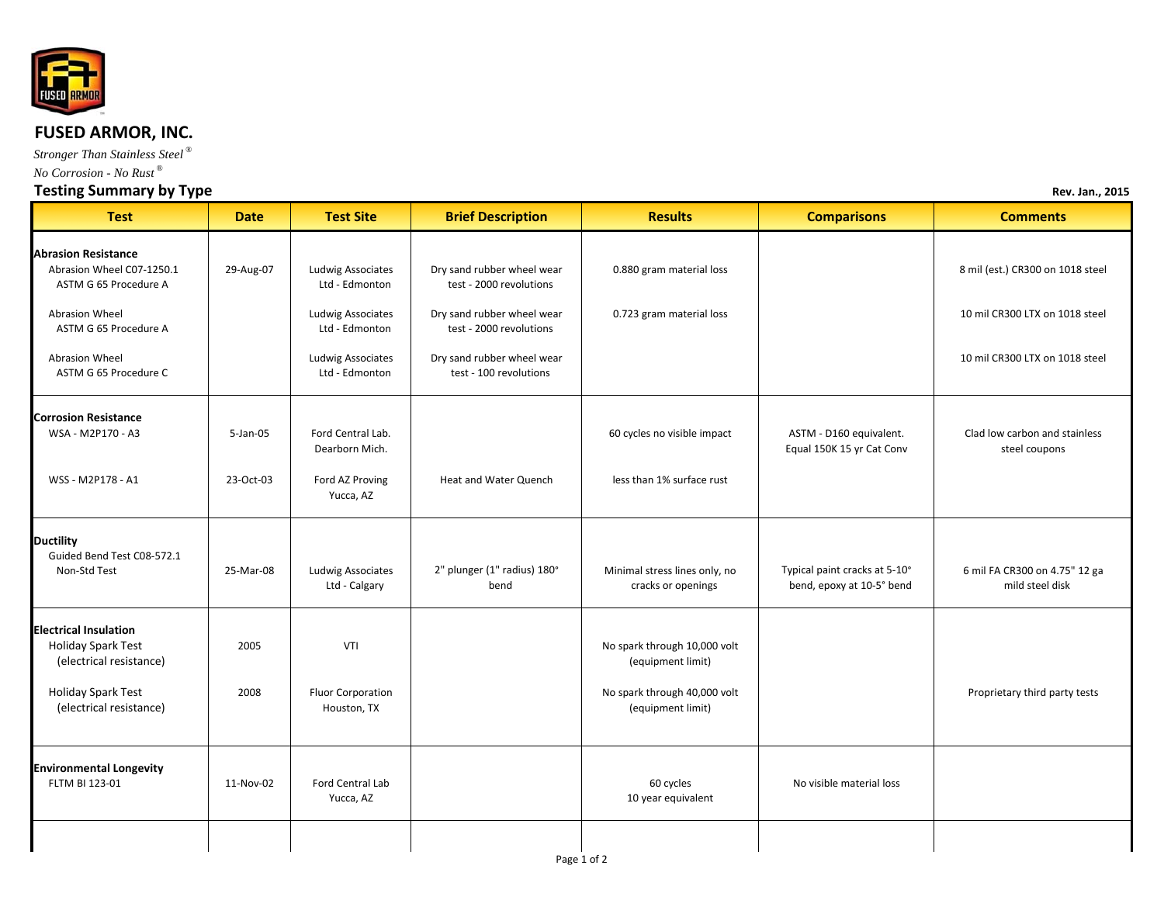

## **FUSED ARMOR, INC.**

*Stronger Than Stainless Steel ® No Corrosion - No Rust ®*

## **Testing Summary by Type Rev. Jan., <sup>2015</sup>**

| <b>Test</b>                                                                                                | <b>Date</b>  | <b>Test Site</b>                    | <b>Brief Description</b>                              | <b>Results</b>                                                                    | <b>Comparisons</b>                                         | <b>Comments</b>                                  |
|------------------------------------------------------------------------------------------------------------|--------------|-------------------------------------|-------------------------------------------------------|-----------------------------------------------------------------------------------|------------------------------------------------------------|--------------------------------------------------|
| <b>Abrasion Resistance</b><br>Abrasion Wheel C07-1250.1<br>ASTM G 65 Procedure A                           | 29-Aug-07    | Ludwig Associates<br>Ltd - Edmonton | Dry sand rubber wheel wear<br>test - 2000 revolutions | 0.880 gram material loss                                                          |                                                            | 8 mil (est.) CR300 on 1018 steel                 |
| Abrasion Wheel<br>ASTM G 65 Procedure A                                                                    |              | Ludwig Associates<br>Ltd - Edmonton | Dry sand rubber wheel wear<br>test - 2000 revolutions | 0.723 gram material loss                                                          |                                                            | 10 mil CR300 LTX on 1018 steel                   |
| Abrasion Wheel<br>ASTM G 65 Procedure C                                                                    |              | Ludwig Associates<br>Ltd - Edmonton | Dry sand rubber wheel wear<br>test - 100 revolutions  |                                                                                   |                                                            | 10 mil CR300 LTX on 1018 steel                   |
| <b>Corrosion Resistance</b><br>WSA - M2P170 - A3                                                           | $5 - Jan-05$ | Ford Central Lab.<br>Dearborn Mich. |                                                       | 60 cycles no visible impact                                                       | ASTM - D160 equivalent.<br>Equal 150K 15 yr Cat Conv       | Clad low carbon and stainless<br>steel coupons   |
| WSS - M2P178 - A1                                                                                          | 23-Oct-03    | Ford AZ Proving<br>Yucca, AZ        | Heat and Water Quench                                 | less than 1% surface rust                                                         |                                                            |                                                  |
| <b>Ductility</b><br>Guided Bend Test C08-572.1<br>Non-Std Test                                             | 25-Mar-08    | Ludwig Associates<br>Ltd - Calgary  | 2" plunger (1" radius) 180°<br>bend                   | Minimal stress lines only, no<br>cracks or openings                               | Typical paint cracks at 5-10°<br>bend, epoxy at 10-5° bend | 6 mil FA CR300 on 4.75" 12 ga<br>mild steel disk |
| <b>Electrical Insulation</b><br>Holiday Spark Test<br>(electrical resistance)<br><b>Holiday Spark Test</b> | 2005<br>2008 | VTI<br>Fluor Corporation            |                                                       | No spark through 10,000 volt<br>(equipment limit)<br>No spark through 40,000 volt |                                                            | Proprietary third party tests                    |
| (electrical resistance)                                                                                    |              | Houston, TX                         |                                                       | (equipment limit)                                                                 |                                                            |                                                  |
| <b>Environmental Longevity</b><br>FLTM BI 123-01                                                           | 11-Nov-02    | Ford Central Lab<br>Yucca, AZ       |                                                       | 60 cycles<br>10 year equivalent                                                   | No visible material loss                                   |                                                  |
|                                                                                                            |              |                                     |                                                       |                                                                                   |                                                            |                                                  |